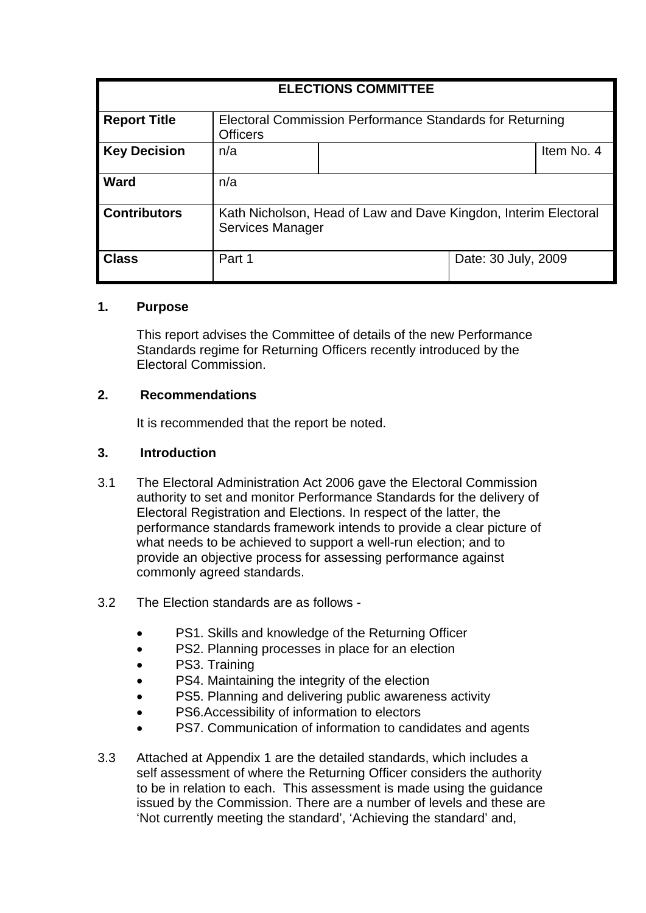| <b>ELECTIONS COMMITTEE</b> |                                                                                     |  |                     |            |
|----------------------------|-------------------------------------------------------------------------------------|--|---------------------|------------|
| <b>Report Title</b>        | Electoral Commission Performance Standards for Returning<br><b>Officers</b>         |  |                     |            |
| <b>Key Decision</b>        | n/a                                                                                 |  |                     | Item No. 4 |
| <b>Ward</b>                | n/a                                                                                 |  |                     |            |
| <b>Contributors</b>        | Kath Nicholson, Head of Law and Dave Kingdon, Interim Electoral<br>Services Manager |  |                     |            |
| <b>Class</b>               | Part 1                                                                              |  | Date: 30 July, 2009 |            |

### **1. Purpose**

This report advises the Committee of details of the new Performance Standards regime for Returning Officers recently introduced by the Electoral Commission.

## **2. Recommendations**

It is recommended that the report be noted.

## **3. Introduction**

- 3.1 The Electoral Administration Act 2006 gave the Electoral Commission authority to set and monitor Performance Standards for the delivery of Electoral Registration and Elections. In respect of the latter, the performance standards framework intends to provide a clear picture of what needs to be achieved to support a well-run election; and to provide an objective process for assessing performance against commonly agreed standards.
- 3.2 The Election standards are as follows
	- PS1. Skills and knowledge of the Returning Officer
	- PS2. Planning processes in place for an election
	- PS3. Training
	- PS4. Maintaining the integrity of the election
	- PS5. Planning and delivering public awareness activity
	- PS6.Accessibility of information to electors
	- PS7. Communication of information to candidates and agents
- 3.3 Attached at Appendix 1 are the detailed standards, which includes a self assessment of where the Returning Officer considers the authority to be in relation to each. This assessment is made using the guidance issued by the Commission. There are a number of levels and these are 'Not currently meeting the standard', 'Achieving the standard' and,